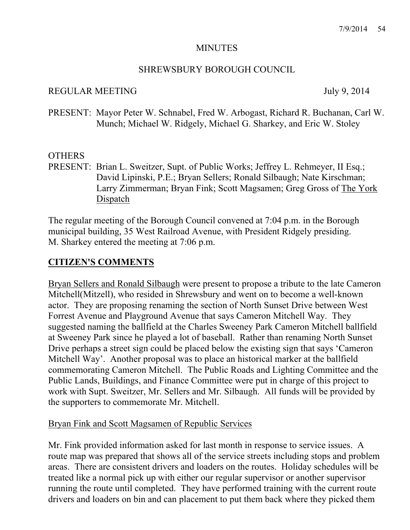#### **MINUTES**

## SHREWSBURY BOROUGH COUNCIL

## REGULAR MEETING July 9, 2014

PRESENT: Mayor Peter W. Schnabel, Fred W. Arbogast, Richard R. Buchanan, Carl W. Munch; Michael W. Ridgely, Michael G. Sharkey, and Eric W. Stoley

## OTHERS

PRESENT: Brian L. Sweitzer, Supt. of Public Works; Jeffrey L. Rehmeyer, II Esq.; David Lipinski, P.E.; Bryan Sellers; Ronald Silbaugh; Nate Kirschman; Larry Zimmerman; Bryan Fink; Scott Magsamen; Greg Gross of The York Dispatch

The regular meeting of the Borough Council convened at 7:04 p.m. in the Borough municipal building, 35 West Railroad Avenue, with President Ridgely presiding. M. Sharkey entered the meeting at 7:06 p.m.

# **CITIZEN'S COMMENTS**

Bryan Sellers and Ronald Silbaugh were present to propose a tribute to the late Cameron Mitchell(Mitzell), who resided in Shrewsbury and went on to become a well-known actor. They are proposing renaming the section of North Sunset Drive between West Forrest Avenue and Playground Avenue that says Cameron Mitchell Way. They suggested naming the ballfield at the Charles Sweeney Park Cameron Mitchell ballfield at Sweeney Park since he played a lot of baseball. Rather than renaming North Sunset Drive perhaps a street sign could be placed below the existing sign that says 'Cameron Mitchell Way'. Another proposal was to place an historical marker at the ballfield commemorating Cameron Mitchell. The Public Roads and Lighting Committee and the Public Lands, Buildings, and Finance Committee were put in charge of this project to work with Supt. Sweitzer, Mr. Sellers and Mr. Silbaugh. All funds will be provided by the supporters to commemorate Mr. Mitchell.

## Bryan Fink and Scott Magsamen of Republic Services

Mr. Fink provided information asked for last month in response to service issues. A route map was prepared that shows all of the service streets including stops and problem areas. There are consistent drivers and loaders on the routes. Holiday schedules will be treated like a normal pick up with either our regular supervisor or another supervisor running the route until completed. They have performed training with the current route drivers and loaders on bin and can placement to put them back where they picked them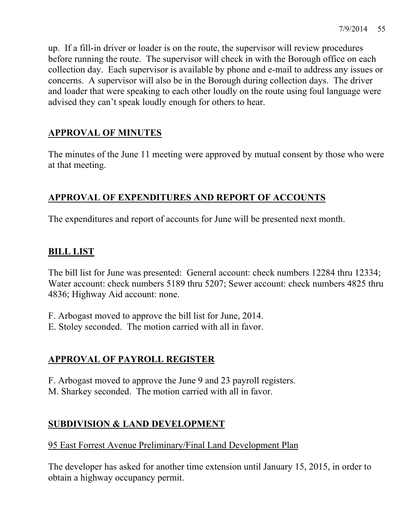up. If a fill-in driver or loader is on the route, the supervisor will review procedures before running the route. The supervisor will check in with the Borough office on each collection day. Each supervisor is available by phone and e-mail to address any issues or concerns. A supervisor will also be in the Borough during collection days. The driver and loader that were speaking to each other loudly on the route using foul language were advised they can't speak loudly enough for others to hear.

# **APPROVAL OF MINUTES**

The minutes of the June 11 meeting were approved by mutual consent by those who were at that meeting.

# **APPROVAL OF EXPENDITURES AND REPORT OF ACCOUNTS**

The expenditures and report of accounts for June will be presented next month.

# **BILL LIST**

The bill list for June was presented: General account: check numbers 12284 thru 12334; Water account: check numbers 5189 thru 5207; Sewer account: check numbers 4825 thru 4836; Highway Aid account: none.

F. Arbogast moved to approve the bill list for June, 2014.

E. Stoley seconded. The motion carried with all in favor.

## **APPROVAL OF PAYROLL REGISTER**

F. Arbogast moved to approve the June 9 and 23 payroll registers. M. Sharkey seconded. The motion carried with all in favor.

# **SUBDIVISION & LAND DEVELOPMENT**

## 95 East Forrest Avenue Preliminary/Final Land Development Plan

The developer has asked for another time extension until January 15, 2015, in order to obtain a highway occupancy permit.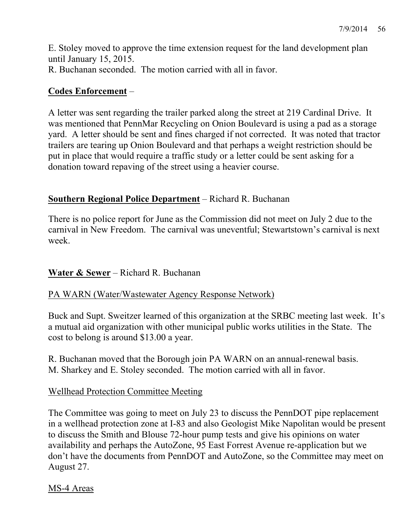E. Stoley moved to approve the time extension request for the land development plan until January 15, 2015. R. Buchanan seconded. The motion carried with all in favor.

## **Codes Enforcement** –

A letter was sent regarding the trailer parked along the street at 219 Cardinal Drive. It was mentioned that PennMar Recycling on Onion Boulevard is using a pad as a storage yard. A letter should be sent and fines charged if not corrected. It was noted that tractor trailers are tearing up Onion Boulevard and that perhaps a weight restriction should be put in place that would require a traffic study or a letter could be sent asking for a donation toward repaving of the street using a heavier course.

## **Southern Regional Police Department** – Richard R. Buchanan

There is no police report for June as the Commission did not meet on July 2 due to the carnival in New Freedom. The carnival was uneventful; Stewartstown's carnival is next week.

## **Water & Sewer** – Richard R. Buchanan

## PA WARN (Water/Wastewater Agency Response Network)

Buck and Supt. Sweitzer learned of this organization at the SRBC meeting last week. It's a mutual aid organization with other municipal public works utilities in the State. The cost to belong is around \$13.00 a year.

R. Buchanan moved that the Borough join PA WARN on an annual-renewal basis. M. Sharkey and E. Stoley seconded. The motion carried with all in favor.

## Wellhead Protection Committee Meeting

The Committee was going to meet on July 23 to discuss the PennDOT pipe replacement in a wellhead protection zone at I-83 and also Geologist Mike Napolitan would be present to discuss the Smith and Blouse 72-hour pump tests and give his opinions on water availability and perhaps the AutoZone, 95 East Forrest Avenue re-application but we don't have the documents from PennDOT and AutoZone, so the Committee may meet on August 27.

## MS-4 Areas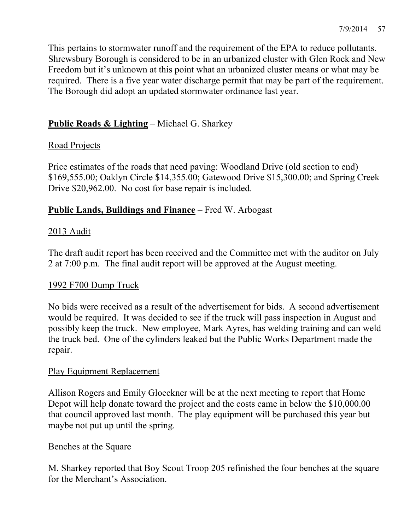This pertains to stormwater runoff and the requirement of the EPA to reduce pollutants. Shrewsbury Borough is considered to be in an urbanized cluster with Glen Rock and New Freedom but it's unknown at this point what an urbanized cluster means or what may be required. There is a five year water discharge permit that may be part of the requirement. The Borough did adopt an updated stormwater ordinance last year.

## **Public Roads & Lighting** – Michael G. Sharkey

## Road Projects

Price estimates of the roads that need paving: Woodland Drive (old section to end) \$169,555.00; Oaklyn Circle \$14,355.00; Gatewood Drive \$15,300.00; and Spring Creek Drive \$20,962.00. No cost for base repair is included.

## **Public Lands, Buildings and Finance** – Fred W. Arbogast

## 2013 Audit

The draft audit report has been received and the Committee met with the auditor on July 2 at 7:00 p.m. The final audit report will be approved at the August meeting.

## 1992 F700 Dump Truck

No bids were received as a result of the advertisement for bids. A second advertisement would be required. It was decided to see if the truck will pass inspection in August and possibly keep the truck. New employee, Mark Ayres, has welding training and can weld the truck bed. One of the cylinders leaked but the Public Works Department made the repair.

## Play Equipment Replacement

Allison Rogers and Emily Gloeckner will be at the next meeting to report that Home Depot will help donate toward the project and the costs came in below the \$10,000.00 that council approved last month. The play equipment will be purchased this year but maybe not put up until the spring.

## Benches at the Square

M. Sharkey reported that Boy Scout Troop 205 refinished the four benches at the square for the Merchant's Association.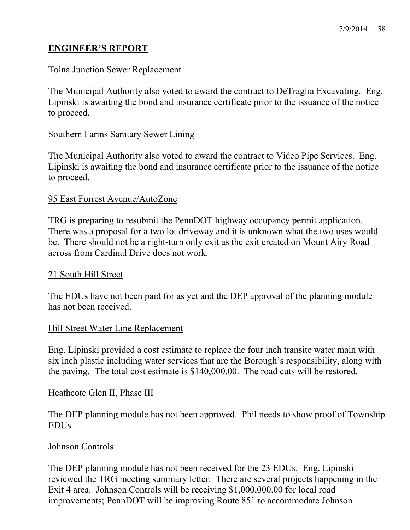## **ENGINEER'S REPORT**

### Tolna Junction Sewer Replacement

The Municipal Authority also voted to award the contract to DeTraglia Excavating. Eng. Lipinski is awaiting the bond and insurance certificate prior to the issuance of the notice to proceed.

#### Southern Farms Sanitary Sewer Lining

The Municipal Authority also voted to award the contract to Video Pipe Services. Eng. Lipinski is awaiting the bond and insurance certificate prior to the issuance of the notice to proceed.

#### 95 East Forrest Avenue/AutoZone

TRG is preparing to resubmit the PennDOT highway occupancy permit application. There was a proposal for a two lot driveway and it is unknown what the two uses would be. There should not be a right-turn only exit as the exit created on Mount Airy Road across from Cardinal Drive does not work.

#### 21 South Hill Street

The EDUs have not been paid for as yet and the DEP approval of the planning module has not been received.

#### Hill Street Water Line Replacement

Eng. Lipinski provided a cost estimate to replace the four inch transite water main with six inch plastic including water services that are the Borough's responsibility, along with the paving. The total cost estimate is \$140,000.00. The road cuts will be restored.

#### Heathcote Glen II, Phase III

The DEP planning module has not been approved. Phil needs to show proof of Township EDUs.

#### Johnson Controls

The DEP planning module has not been received for the 23 EDUs. Eng. Lipinski reviewed the TRG meeting summary letter. There are several projects happening in the Exit 4 area. Johnson Controls will be receiving \$1,000,000.00 for local road improvements; PennDOT will be improving Route 851 to accommodate Johnson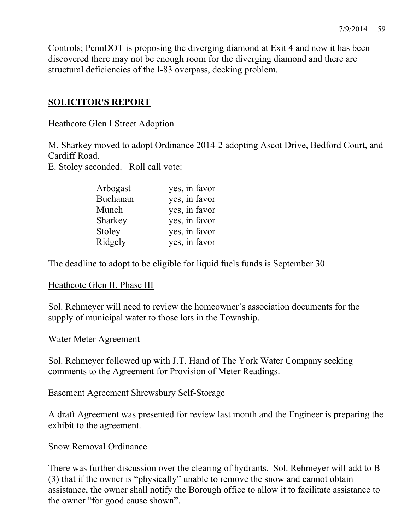Controls; PennDOT is proposing the diverging diamond at Exit 4 and now it has been discovered there may not be enough room for the diverging diamond and there are structural deficiencies of the I-83 overpass, decking problem.

# **SOLICITOR'S REPORT**

## Heathcote Glen I Street Adoption

M. Sharkey moved to adopt Ordinance 2014-2 adopting Ascot Drive, Bedford Court, and Cardiff Road.

E. Stoley seconded. Roll call vote:

| Arbogast | yes, in favor |
|----------|---------------|
| Buchanan | yes, in favor |
| Munch    | yes, in favor |
| Sharkey  | yes, in favor |
| Stoley   | yes, in favor |
| Ridgely  | yes, in favor |

The deadline to adopt to be eligible for liquid fuels funds is September 30.

## Heathcote Glen II, Phase III

Sol. Rehmeyer will need to review the homeowner's association documents for the supply of municipal water to those lots in the Township.

## Water Meter Agreement

Sol. Rehmeyer followed up with J.T. Hand of The York Water Company seeking comments to the Agreement for Provision of Meter Readings.

## Easement Agreement Shrewsbury Self-Storage

A draft Agreement was presented for review last month and the Engineer is preparing the exhibit to the agreement.

## Snow Removal Ordinance

There was further discussion over the clearing of hydrants. Sol. Rehmeyer will add to B (3) that if the owner is "physically" unable to remove the snow and cannot obtain assistance, the owner shall notify the Borough office to allow it to facilitate assistance to the owner "for good cause shown".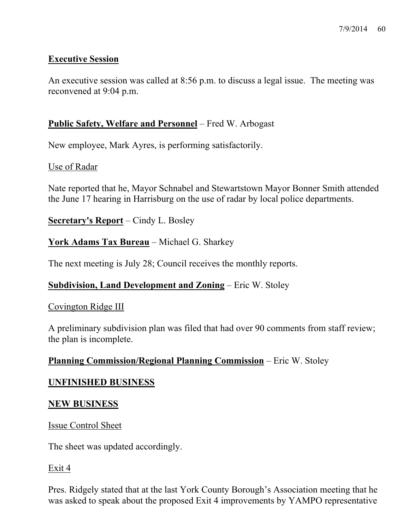## **Executive Session**

An executive session was called at 8:56 p.m. to discuss a legal issue. The meeting was reconvened at 9:04 p.m.

## **Public Safety, Welfare and Personnel** – Fred W. Arbogast

New employee, Mark Ayres, is performing satisfactorily.

## Use of Radar

Nate reported that he, Mayor Schnabel and Stewartstown Mayor Bonner Smith attended the June 17 hearing in Harrisburg on the use of radar by local police departments.

**Secretary's Report** – Cindy L. Bosley

## **York Adams Tax Bureau** – Michael G. Sharkey

The next meeting is July 28; Council receives the monthly reports.

## **Subdivision, Land Development and Zoning** – Eric W. Stoley

## Covington Ridge III

A preliminary subdivision plan was filed that had over 90 comments from staff review; the plan is incomplete.

## **Planning Commission/Regional Planning Commission** – Eric W. Stoley

## **UNFINISHED BUSINESS**

#### **NEW BUSINESS**

#### Issue Control Sheet

The sheet was updated accordingly.

#### Exit 4

Pres. Ridgely stated that at the last York County Borough's Association meeting that he was asked to speak about the proposed Exit 4 improvements by YAMPO representative